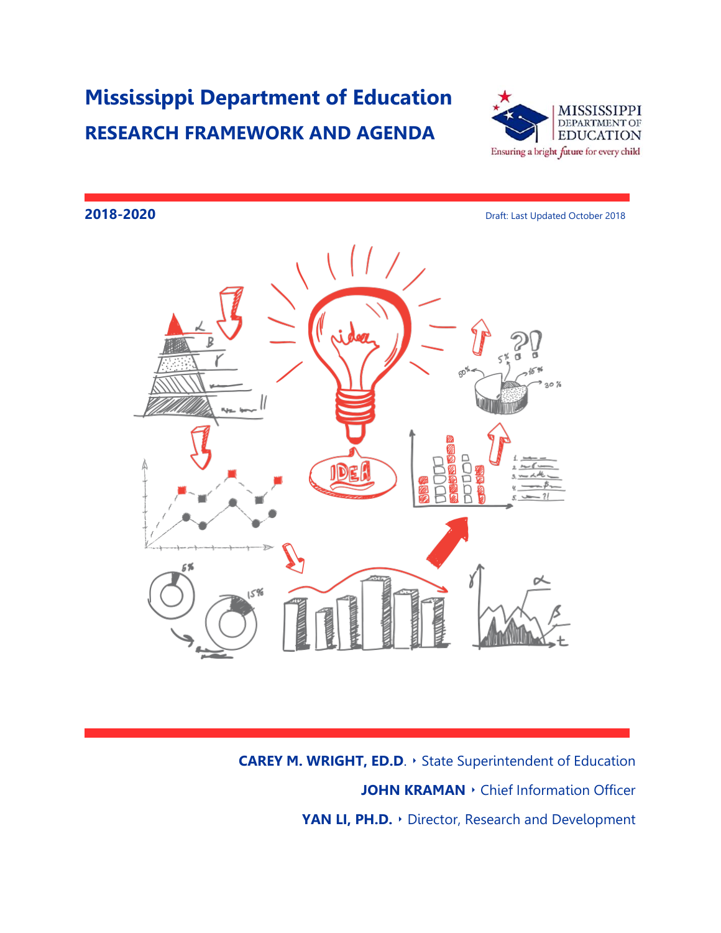## **Mississippi Department of Education RESEARCH FRAMEWORK AND AGENDA**



# **2018-2020 Draft: Last Updated October 2018** 30 % C ID **NAME OF PROPERTY NUMBER**

**CAREY M. WRIGHT, ED.D**. ‣ State Superintendent of Education **JOHN KRAMAN •** Chief Information Officer **YAN LI, PH.D.** ‣ Director, Research and Development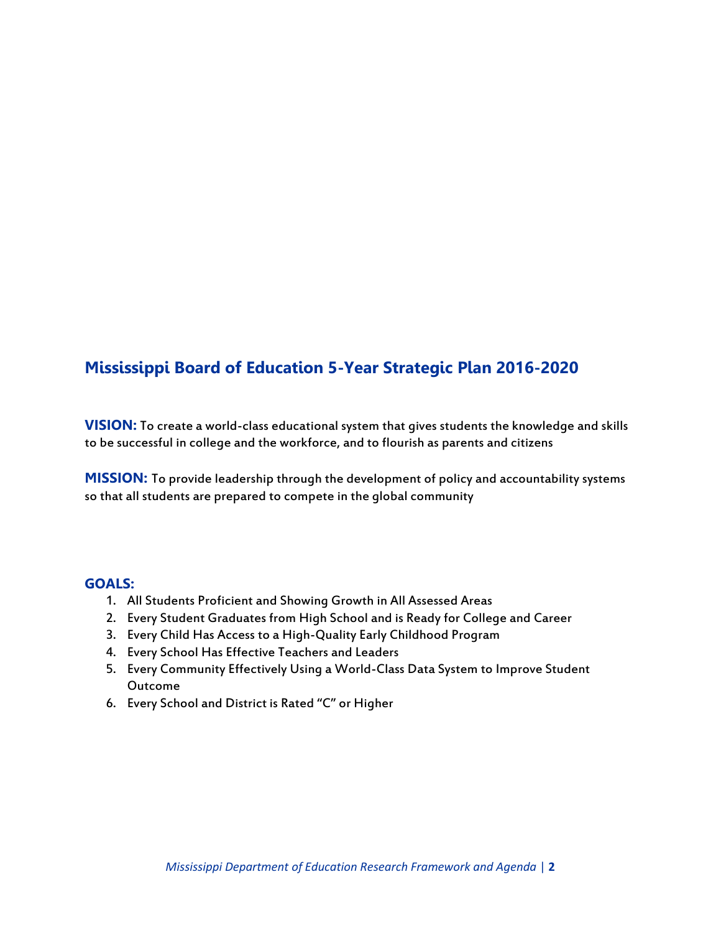## **Mississippi Board of Education 5-Year Strategic Plan 2016-2020**

**VISION:** To create a world-class educational system that gives students the knowledge and skills to be successful in college and the workforce, and to flourish as parents and citizens

**MISSION:** To provide leadership through the development of policy and accountability systems so that all students are prepared to compete in the global community

### **GOALS:**

- 1. All Students Proficient and Showing Growth in All Assessed Areas
- 2. Every Student Graduates from High School and is Ready for College and Career
- 3. Every Child Has Access to a High-Quality Early Childhood Program
- 4. Every School Has Effective Teachers and Leaders
- 5. Every Community Effectively Using a World-Class Data System to Improve Student Outcome
- 6. Every School and District is Rated "C" or Higher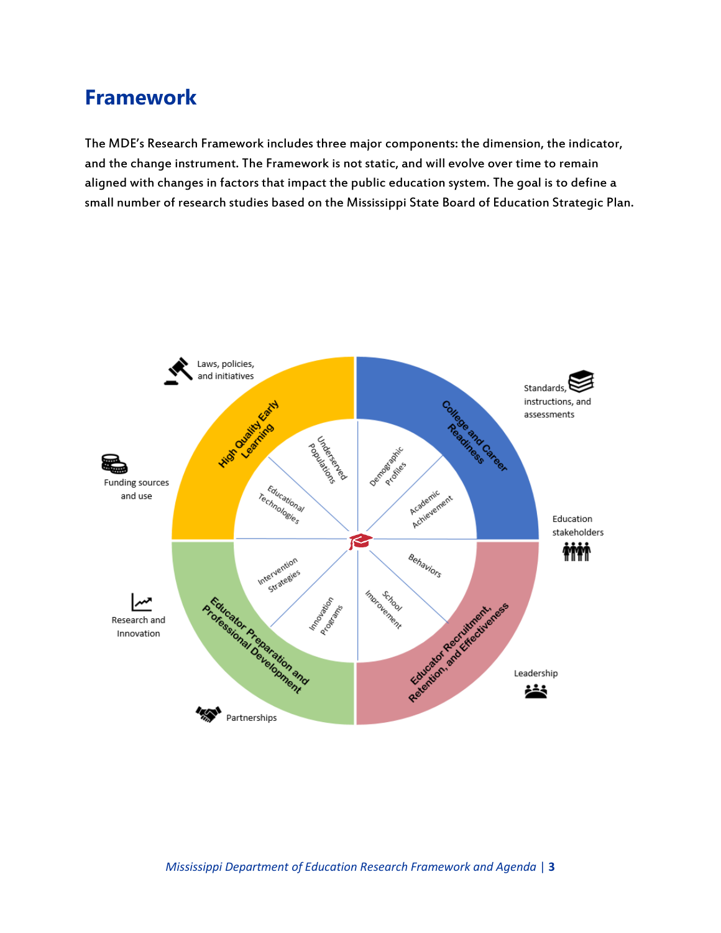## **Framework**

The MDE's Research Framework includes three major components: the dimension, the indicator, and the change instrument. The Framework is not static, and will evolve over time to remain aligned with changes in factors that impact the public education system. The goal is to define a small number of research studies based on the Mississippi State Board of Education Strategic Plan.

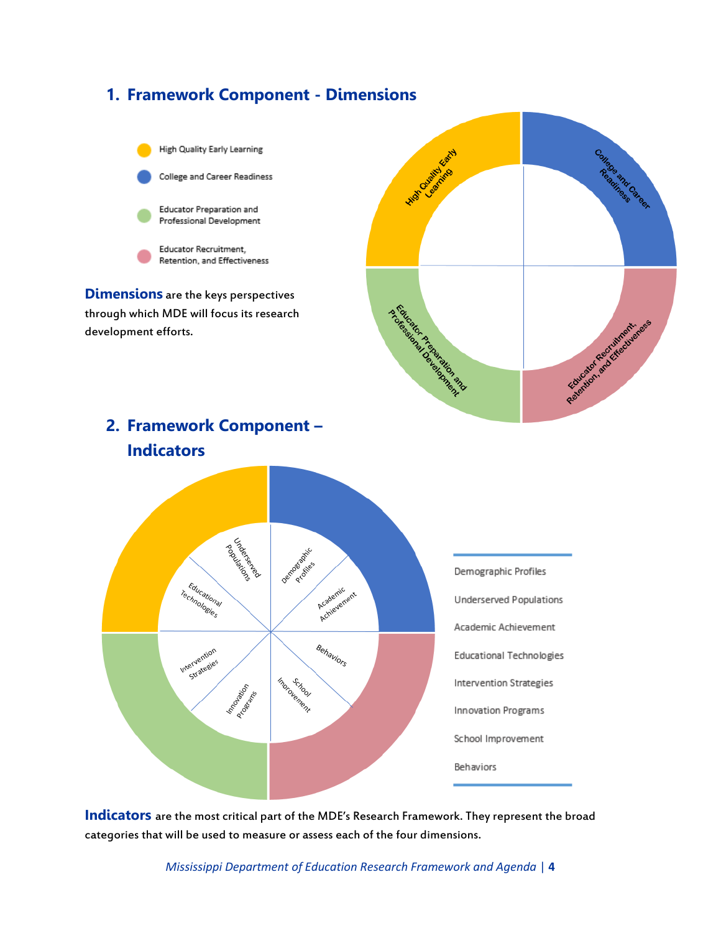

**Indicators** are the most critical part of the MDE's Research Framework. They represent the broad categories that will be used to measure or assess each of the four dimensions.

*Mississippi Department of Education Research Framework and Agenda* | **4**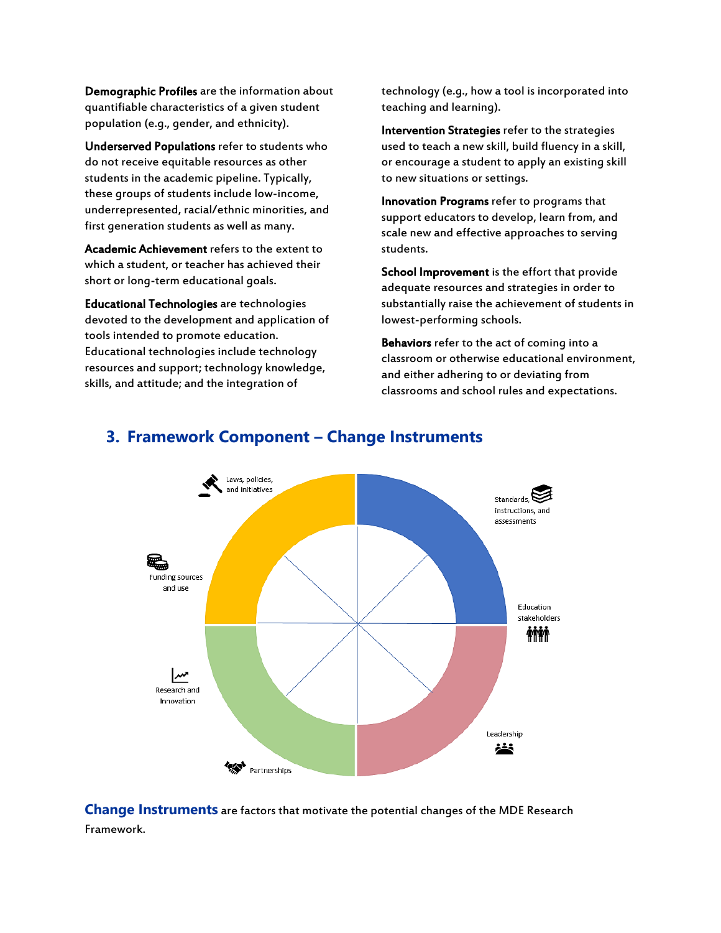Demographic Profiles are the information about quantifiable characteristics of a given student population (e.g., gender, and ethnicity).

Underserved Populations refer to students who do not receive equitable resources as other students in the academic pipeline. Typically, these groups of students include low-income, underrepresented, racial/ethnic minorities, and first generation students as well as many.

Academic Achievement refers to the extent to which a student, or teacher has achieved their short or long-term educational goals.

Educational Technologies are technologies devoted to the development and application of tools intended to promote education. Educational technologies include technology resources and support; technology knowledge, skills, and attitude; and the integration of

technology (e.g., how a tool is incorporated into teaching and learning).

Intervention Strategies refer to the strategies used to teach a new skill, build fluency in a skill, or encourage a student to apply an existing skill to new situations or settings.

Innovation Programs refer to programs that support educators to develop, learn from, and scale new and effective approaches to serving students.

School Improvement is the effort that provide adequate resources and strategies in order to substantially raise the achievement of students in lowest-performing schools.

Behaviors refer to the act of coming into a classroom or otherwise educational environment, and either adhering to or deviating from classrooms and school rules and expectations.



## **3. Framework Component – Change Instruments**

**Change Instruments** are factors that motivate the potential changes of the MDE Research Framework.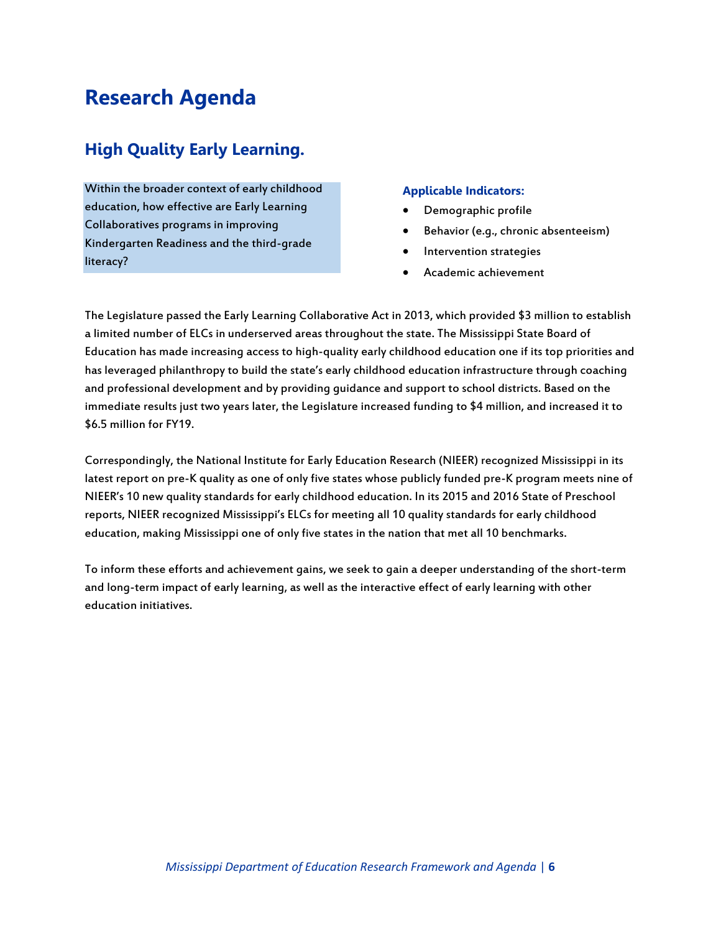## **Research Agenda**

## **High Quality Early Learning.**

Within the broader context of early childhood education, how effective are Early Learning Collaboratives programs in improving Kindergarten Readiness and the third-grade literacy?

#### **Applicable Indicators:**

- Demographic profile
- Behavior (e.g., chronic absenteeism)
- Intervention strategies
- Academic achievement

The Legislature passed the Early Learning Collaborative Act in 2013, which provided \$3 million to establish a limited number of ELCs in underserved areas throughout the state. The Mississippi State Board of Education has made increasing access to high-quality early childhood education one if its top priorities and has leveraged philanthropy to build the state's early childhood education infrastructure through coaching and professional development and by providing guidance and support to school districts. Based on the immediate results just two years later, the Legislature increased funding to \$4 million, and increased it to \$6.5 million for FY19.

Correspondingly, the National Institute for Early Education Research (NIEER) recognized Mississippi in its latest report on pre-K quality as one of only five states whose publicly funded pre-K program meets nine of NIEER's 10 new quality standards for early childhood education. In its 2015 and 2016 State of Preschool reports, NIEER recognized Mississippi's ELCs for meeting all 10 quality standards for early childhood education, making Mississippi one of only five states in the nation that met all 10 benchmarks.

To inform these efforts and achievement gains, we seek to gain a deeper understanding of the short-term and long-term impact of early learning, as well as the interactive effect of early learning with other education initiatives.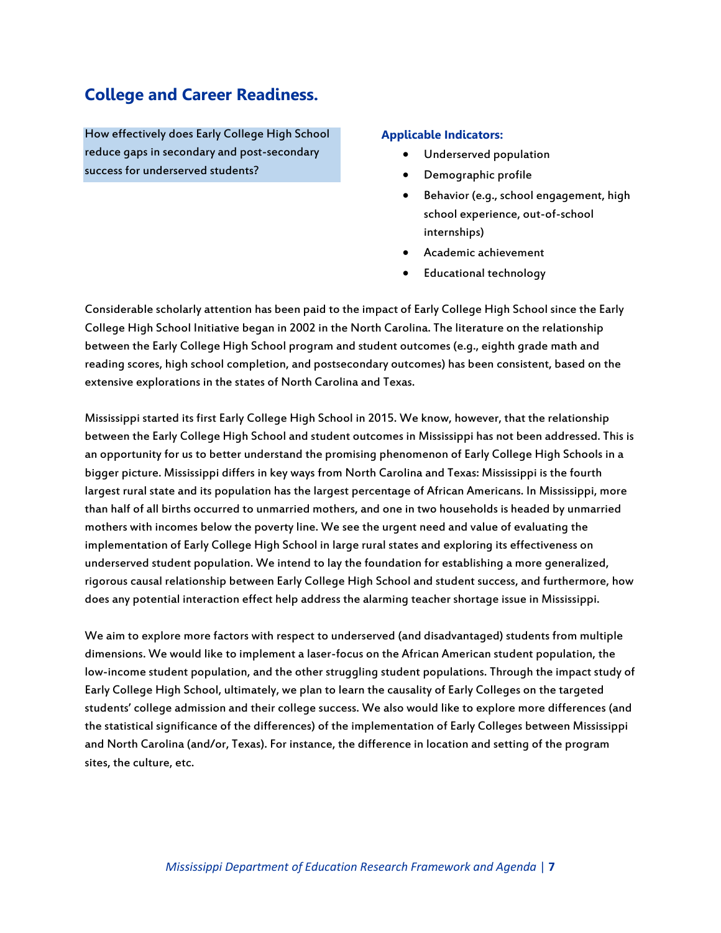## **College and Career Readiness.**

How effectively does Early College High School reduce gaps in secondary and post-secondary success for underserved students?

#### **Applicable Indicators:**

- Underserved population
- Demographic profile
- Behavior (e.g., school engagement, high school experience, out-of-school internships)
- Academic achievement
- Educational technology

Considerable scholarly attention has been paid to the impact of Early College High School since the Early College High School Initiative began in 2002 in the North Carolina. The literature on the relationship between the Early College High School program and student outcomes (e.g., eighth grade math and reading scores, high school completion, and postsecondary outcomes) has been consistent, based on the extensive explorations in the states of North Carolina and Texas.

Mississippi started its first Early College High School in 2015. We know, however, that the relationship between the Early College High School and student outcomes in Mississippi has not been addressed. This is an opportunity for us to better understand the promising phenomenon of Early College High Schools in a bigger picture. Mississippi differs in key ways from North Carolina and Texas: Mississippi is the fourth largest rural state and its population has the largest percentage of African Americans. In Mississippi, more than half of all births occurred to unmarried mothers, and one in two households is headed by unmarried mothers with incomes below the poverty line. We see the urgent need and value of evaluating the implementation of Early College High School in large rural states and exploring its effectiveness on underserved student population. We intend to lay the foundation for establishing a more generalized, rigorous causal relationship between Early College High School and student success, and furthermore, how does any potential interaction effect help address the alarming teacher shortage issue in Mississippi.

We aim to explore more factors with respect to underserved (and disadvantaged) students from multiple dimensions. We would like to implement a laser-focus on the African American student population, the low-income student population, and the other struggling student populations. Through the impact study of Early College High School, ultimately, we plan to learn the causality of Early Colleges on the targeted students' college admission and their college success. We also would like to explore more differences (and the statistical significance of the differences) of the implementation of Early Colleges between Mississippi and North Carolina (and/or, Texas). For instance, the difference in location and setting of the program sites, the culture, etc.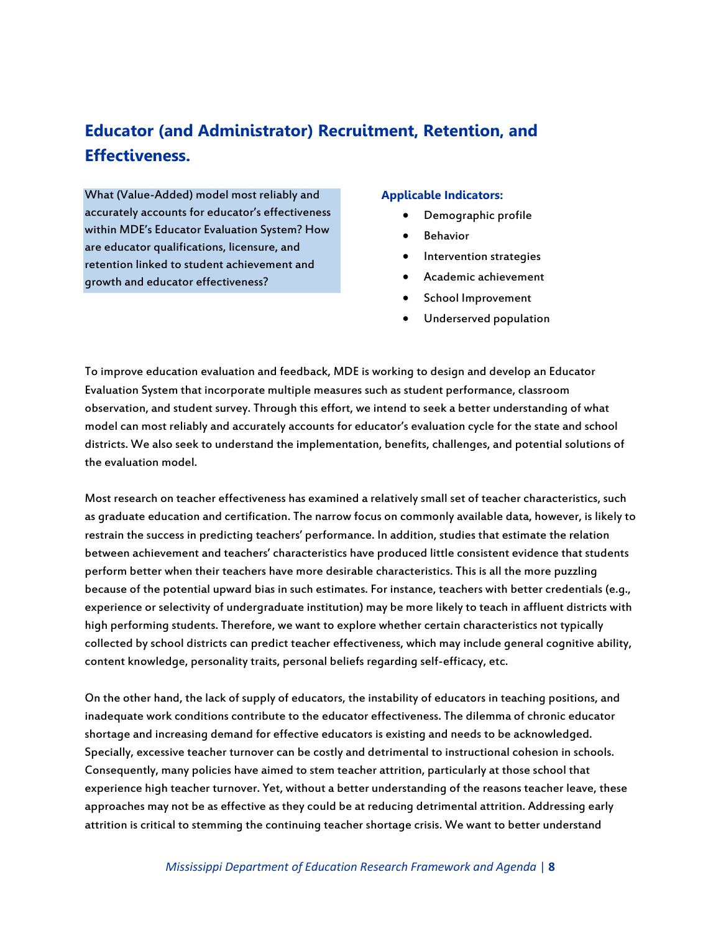## **Educator (and Administrator) Recruitment, Retention, and Effectiveness.**

What (Value-Added) model most reliably and accurately accounts for educator's effectiveness within MDE's Educator Evaluation System? How are educator qualifications, licensure, and retention linked to student achievement and growth and educator effectiveness?

#### **Applicable Indicators:**

- Demographic profile
- Behavior
- Intervention strategies
- Academic achievement
- School Improvement
- Underserved population

To improve education evaluation and feedback, MDE is working to design and develop an Educator Evaluation System that incorporate multiple measures such as student performance, classroom observation, and student survey. Through this effort, we intend to seek a better understanding of what model can most reliably and accurately accounts for educator's evaluation cycle for the state and school districts. We also seek to understand the implementation, benefits, challenges, and potential solutions of the evaluation model.

Most research on teacher effectiveness has examined a relatively small set of teacher characteristics, such as graduate education and certification. The narrow focus on commonly available data, however, is likely to restrain the success in predicting teachers' performance. In addition, studies that estimate the relation between achievement and teachers' characteristics have produced little consistent evidence that students perform better when their teachers have more desirable characteristics. This is all the more puzzling because of the potential upward bias in such estimates. For instance, teachers with better credentials (e.g., experience or selectivity of undergraduate institution) may be more likely to teach in affluent districts with high performing students. Therefore, we want to explore whether certain characteristics not typically collected by school districts can predict teacher effectiveness, which may include general cognitive ability, content knowledge, personality traits, personal beliefs regarding self-efficacy, etc.

On the other hand, the lack of supply of educators, the instability of educators in teaching positions, and inadequate work conditions contribute to the educator effectiveness. The dilemma of chronic educator shortage and increasing demand for effective educators is existing and needs to be acknowledged. Specially, excessive teacher turnover can be costly and detrimental to instructional cohesion in schools. Consequently, many policies have aimed to stem teacher attrition, particularly at those school that experience high teacher turnover. Yet, without a better understanding of the reasons teacher leave, these approaches may not be as effective as they could be at reducing detrimental attrition. Addressing early attrition is critical to stemming the continuing teacher shortage crisis. We want to better understand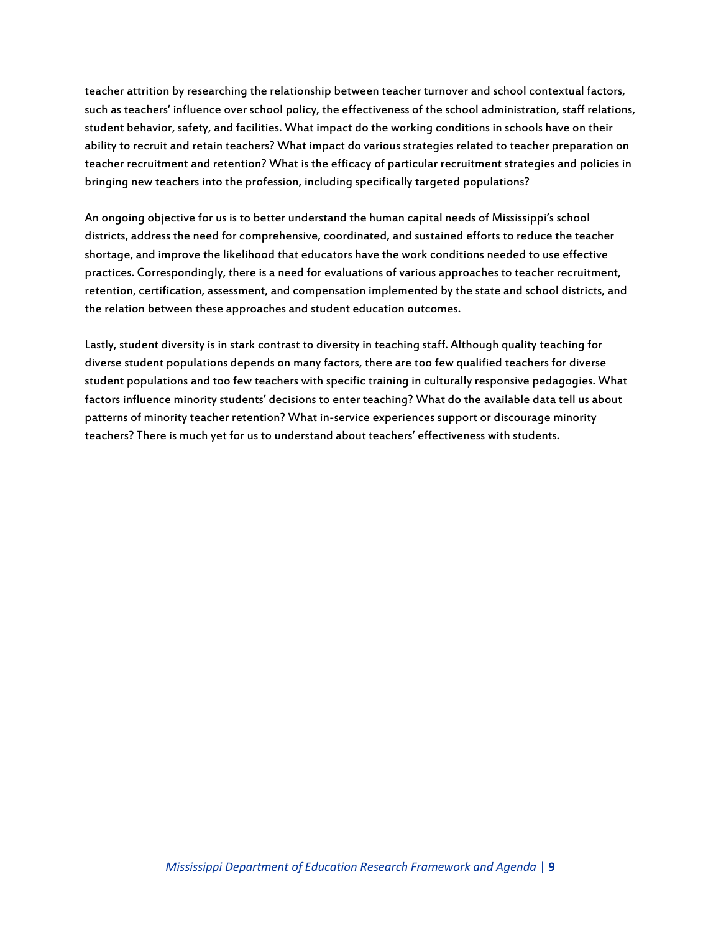teacher attrition by researching the relationship between teacher turnover and school contextual factors, such as teachers' influence over school policy, the effectiveness of the school administration, staff relations, student behavior, safety, and facilities. What impact do the working conditions in schools have on their ability to recruit and retain teachers? What impact do various strategies related to teacher preparation on teacher recruitment and retention? What is the efficacy of particular recruitment strategies and policies in bringing new teachers into the profession, including specifically targeted populations?

An ongoing objective for us is to better understand the human capital needs of Mississippi's school districts, address the need for comprehensive, coordinated, and sustained efforts to reduce the teacher shortage, and improve the likelihood that educators have the work conditions needed to use effective practices. Correspondingly, there is a need for evaluations of various approaches to teacher recruitment, retention, certification, assessment, and compensation implemented by the state and school districts, and the relation between these approaches and student education outcomes.

Lastly, student diversity is in stark contrast to diversity in teaching staff. Although quality teaching for diverse student populations depends on many factors, there are too few qualified teachers for diverse student populations and too few teachers with specific training in culturally responsive pedagogies. What factors influence minority students' decisions to enter teaching? What do the available data tell us about patterns of minority teacher retention? What in-service experiences support or discourage minority teachers? There is much yet for us to understand about teachers' effectiveness with students.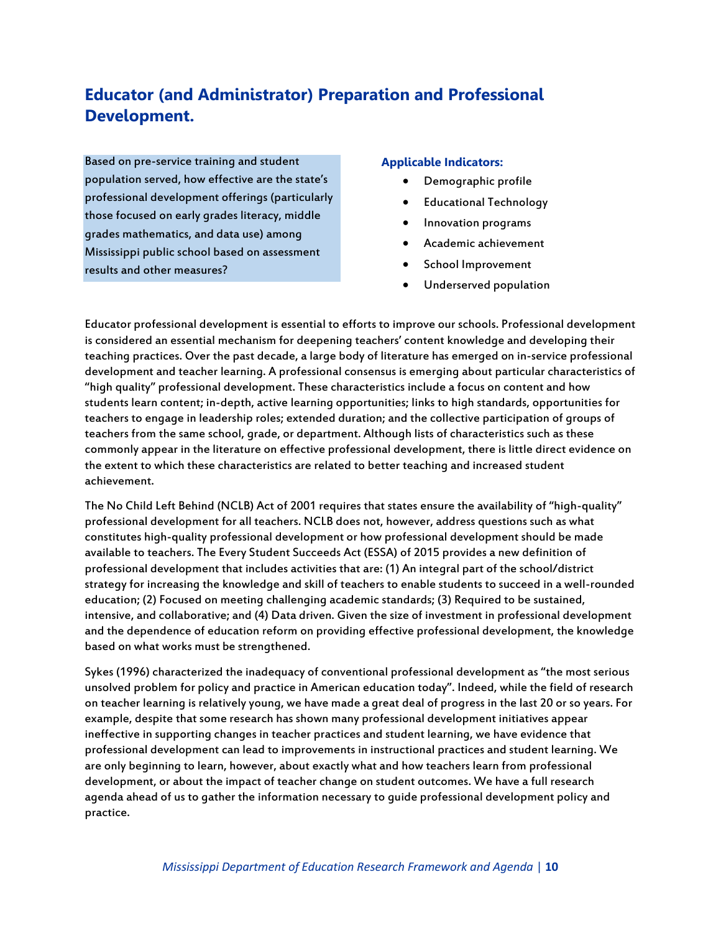## **Educator (and Administrator) Preparation and Professional Development.**

Based on pre-service training and student population served, how effective are the state's professional development offerings (particularly those focused on early grades literacy, middle grades mathematics, and data use) among Mississippi public school based on assessment results and other measures?

#### **Applicable Indicators:**

- Demographic profile
- Educational Technology
- **•** Innovation programs
- Academic achievement
- School Improvement
- Underserved population

Educator professional development is essential to efforts to improve our schools. Professional development is considered an essential mechanism for deepening teachers' content knowledge and developing their teaching practices. Over the past decade, a large body of literature has emerged on in-service professional development and teacher learning. A professional consensus is emerging about particular characteristics of "high quality" professional development. These characteristics include a focus on content and how students learn content; in-depth, active learning opportunities; links to high standards, opportunities for teachers to engage in leadership roles; extended duration; and the collective participation of groups of teachers from the same school, grade, or department. Although lists of characteristics such as these commonly appear in the literature on effective professional development, there is little direct evidence on the extent to which these characteristics are related to better teaching and increased student achievement.

The No Child Left Behind (NCLB) Act of 2001 requires that states ensure the availability of "high-quality" professional development for all teachers. NCLB does not, however, address questions such as what constitutes high-quality professional development or how professional development should be made available to teachers. The Every Student Succeeds Act (ESSA) of 2015 provides a new definition of professional development that includes activities that are: (1) An integral part of the school/district strategy for increasing the knowledge and skill of teachers to enable students to succeed in a well-rounded education; (2) Focused on meeting challenging academic standards; (3) Required to be sustained, intensive, and collaborative; and (4) Data driven. Given the size of investment in professional development and the dependence of education reform on providing effective professional development, the knowledge based on what works must be strengthened.

Sykes (1996) characterized the inadequacy of conventional professional development as "the most serious unsolved problem for policy and practice in American education today". Indeed, while the field of research on teacher learning is relatively young, we have made a great deal of progress in the last 20 or so years. For example, despite that some research has shown many professional development initiatives appear ineffective in supporting changes in teacher practices and student learning, we have evidence that professional development can lead to improvements in instructional practices and student learning. We are only beginning to learn, however, about exactly what and how teachers learn from professional development, or about the impact of teacher change on student outcomes. We have a full research agenda ahead of us to gather the information necessary to guide professional development policy and practice.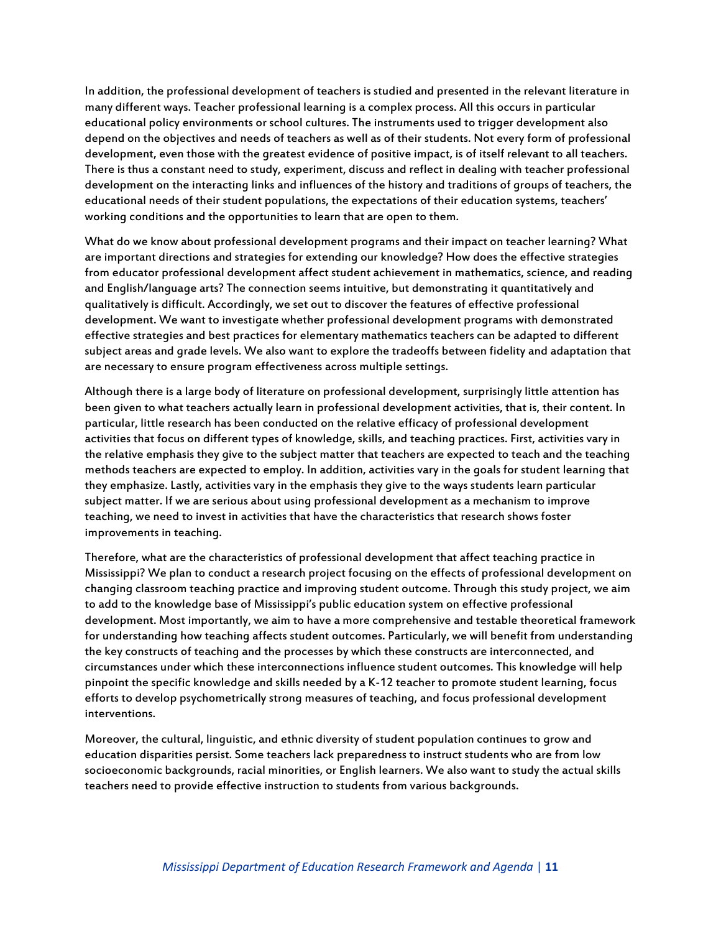In addition, the professional development of teachers is studied and presented in the relevant literature in many different ways. Teacher professional learning is a complex process. All this occurs in particular educational policy environments or school cultures. The instruments used to trigger development also depend on the objectives and needs of teachers as well as of their students. Not every form of professional development, even those with the greatest evidence of positive impact, is of itself relevant to all teachers. There is thus a constant need to study, experiment, discuss and reflect in dealing with teacher professional development on the interacting links and influences of the history and traditions of groups of teachers, the educational needs of their student populations, the expectations of their education systems, teachers' working conditions and the opportunities to learn that are open to them.

What do we know about professional development programs and their impact on teacher learning? What are important directions and strategies for extending our knowledge? How does the effective strategies from educator professional development affect student achievement in mathematics, science, and reading and English/language arts? The connection seems intuitive, but demonstrating it quantitatively and qualitatively is difficult. Accordingly, we set out to discover the features of effective professional development. We want to investigate whether professional development programs with demonstrated effective strategies and best practices for elementary mathematics teachers can be adapted to different subject areas and grade levels. We also want to explore the tradeoffs between fidelity and adaptation that are necessary to ensure program effectiveness across multiple settings.

Although there is a large body of literature on professional development, surprisingly little attention has been given to what teachers actually learn in professional development activities, that is, their content. In particular, little research has been conducted on the relative efficacy of professional development activities that focus on different types of knowledge, skills, and teaching practices. First, activities vary in the relative emphasis they give to the subject matter that teachers are expected to teach and the teaching methods teachers are expected to employ. In addition, activities vary in the goals for student learning that they emphasize. Lastly, activities vary in the emphasis they give to the ways students learn particular subject matter. If we are serious about using professional development as a mechanism to improve teaching, we need to invest in activities that have the characteristics that research shows foster improvements in teaching.

Therefore, what are the characteristics of professional development that affect teaching practice in Mississippi? We plan to conduct a research project focusing on the effects of professional development on changing classroom teaching practice and improving student outcome. Through this study project, we aim to add to the knowledge base of Mississippi's public education system on effective professional development. Most importantly, we aim to have a more comprehensive and testable theoretical framework for understanding how teaching affects student outcomes. Particularly, we will benefit from understanding the key constructs of teaching and the processes by which these constructs are interconnected, and circumstances under which these interconnections influence student outcomes. This knowledge will help pinpoint the specific knowledge and skills needed by a K-12 teacher to promote student learning, focus efforts to develop psychometrically strong measures of teaching, and focus professional development interventions.

Moreover, the cultural, linguistic, and ethnic diversity of student population continues to grow and education disparities persist. Some teachers lack preparedness to instruct students who are from low socioeconomic backgrounds, racial minorities, or English learners. We also want to study the actual skills teachers need to provide effective instruction to students from various backgrounds.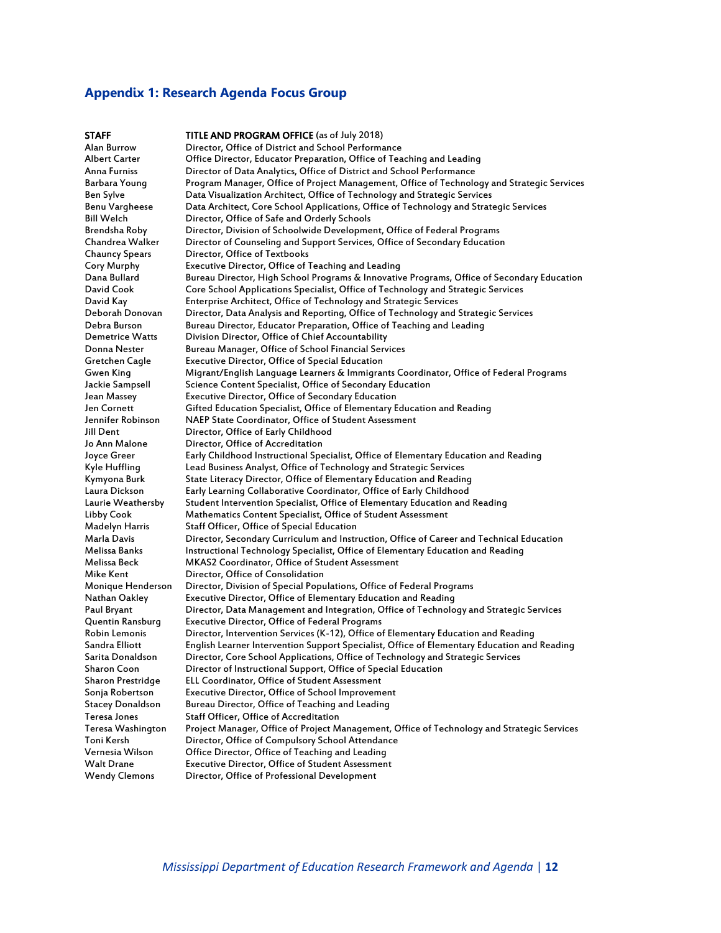#### **Appendix 1: Research Agenda Focus Group**

**STAFF TITLE AND PROGRAM OFFICE** (as of July 2018)<br>Alan Burrow Director, Office of District and School Performa Director, Office of District and School Performance Albert Carter Office Director, Educator Preparation, Office of Teaching and Leading Anna Furniss Director of Data Analytics, Office of District and School Performance Barbara Young Program Manager, Office of Project Management, Office of Technology and Strategic Services Ben Sylve Data Visualization Architect, Office of Technology and Strategic Services Benu Vargheese Data Architect, Core School Applications, Office of Technology and Strategic Services Bill Welch **Director, Office of Safe and Orderly Schools**<br>Brendsha Roby Director, Division of Schoolwide Developme Director, Division of Schoolwide Development, Office of Federal Programs Chandrea Walker Director of Counseling and Support Services, Office of Secondary Education Chauncy Spears Director, Office of Textbooks<br>
Cory Murphy Executive Director, Office of T Cory Murphy Executive Director, Office of Teaching and Leading Dana Bullard Bureau Director, High School Programs & Innovative Programs, Office of Secondary Education<br>David Cook Core School Applications Specialist, Office of Technology and Strategic Services Core School Applications Specialist, Office of Technology and Strategic Services David Kay Enterprise Architect, Office of Technology and Strategic Services Deborah Donovan Director, Data Analysis and Reporting, Office of Technology and Strategic Services Debra Burson Bureau Director, Educator Preparation, Office of Teaching and Leading Demetrice Watts Division Director, Office of Chief Accountability Bureau Manager, Office of School Financial Services Gretchen Cagle Executive Director, Office of Special Education Gwen King Migrant/English Language Learners & Immigrants Coordinator, Office of Federal Programs Jackie Sampsell Science Content Specialist, Office of Secondary Education<br>Jean Massey Fxecutive Director, Office of Secondary Education Jean Massey Executive Director, Office of Secondary Education Jen Cornett Gifted Education Specialist, Office of Elementary Education and Reading<br>Jennifer Robinson NAEP State Coordinator. Office of Student Assessment NAEP State Coordinator, Office of Student Assessment Jill Dent Director, Office of Early Childhood Jo Ann Malone Director, Office of Accreditation<br>Joyce Greer Farly Childhood Instructional Spe Joyce Greer Early Childhood Instructional Specialist, Office of Elementary Education and Reading Kyle Huffling Lead Business Analyst, Office of Technology and Strategic Services<br>Kymyona Burk State Literacy Director, Office of Elementary Education and Readin Kymyona Burk State Literacy Director, Office of Elementary Education and Reading<br>Laura Dickson Early Learning Collaborative Coordinator, Office of Early Childhood Early Learning Collaborative Coordinator, Office of Early Childhood Laurie Weathersby Student Intervention Specialist, Office of Elementary Education and Reading Libby Cook Mathematics Content Specialist, Office of Student Assessment Madelyn Harris Staff Officer, Office of Special Education<br>Marla Davis Director, Secondary Curriculum and Instr Marla Davis Director, Secondary Curriculum and Instruction, Office of Career and Technical Education<br>Melissa Banks Instructional Technology Specialist, Office of Elementary Education and Reading Instructional Technology Specialist, Office of Elementary Education and Reading Melissa Beck MKAS2 Coordinator, Office of Student Assessment Mike Kent Director, Office of Consolidation Monique Henderson Director, Division of Special Populations, Office of Federal Programs<br>Nathan Oakley Executive Director, Office of Elementary Education and Reading Executive Director, Office of Elementary Education and Reading Paul Bryant Director, Data Management and Integration, Office of Technology and Strategic Services Quentin Ransburg Executive Director, Office of Federal Programs Robin Lemonis Director, Intervention Services (K-12), Office of Elementary Education and Reading Sandra Elliott Figlish Learner Intervention Support Specialist, Office of Elementary Education and Reading<br>Sarita Donaldson Director, Core School Applications, Office of Technology and Strategic Services Director, Core School Applications, Office of Technology and Strategic Services Sharon Coon Director of Instructional Support, Office of Special Education<br>Sharon Prestridge ELL Coordinator, Office of Student Assessment ELL Coordinator, Office of Student Assessment Sonja Robertson Executive Director, Office of School Improvement Stacey Donaldson Bureau Director, Office of Teaching and Leading Teresa Jones Staff Officer, Office of Accreditation Teresa Washington Project Manager, Office of Project Management, Office of Technology and Strategic Services Director, Office of Compulsory School Attendance Vernesia Wilson Office Director, Office of Teaching and Leading Walt Drane **Executive Director, Office of Student Assessment**<br>Wendy Clemons Director, Office of Professional Development Director, Office of Professional Development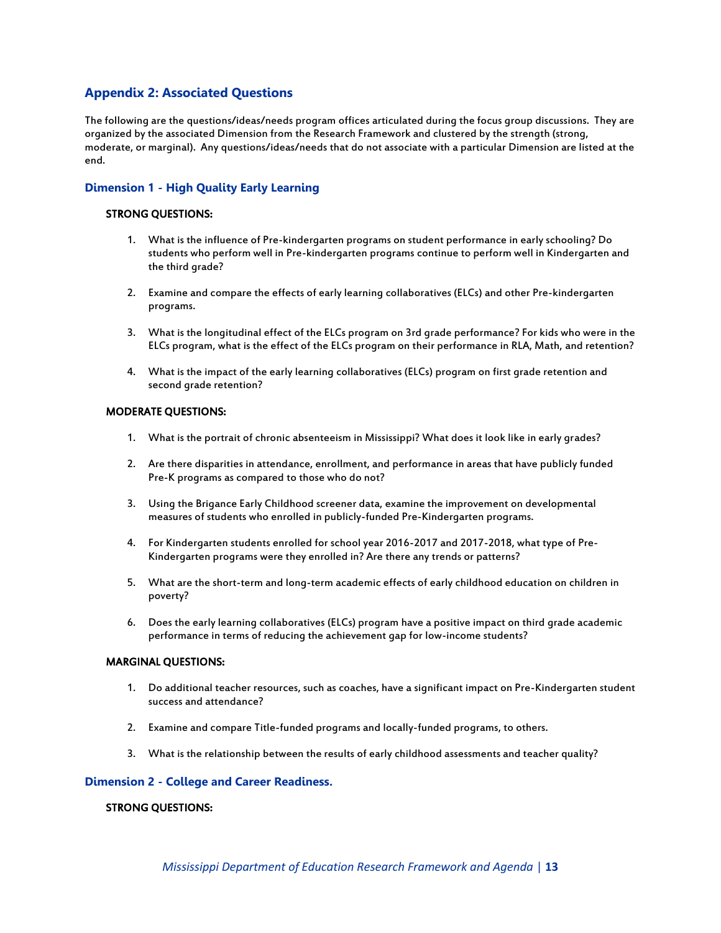#### **Appendix 2: Associated Questions**

The following are the questions/ideas/needs program offices articulated during the focus group discussions. They are organized by the associated Dimension from the Research Framework and clustered by the strength (strong, moderate, or marginal). Any questions/ideas/needs that do not associate with a particular Dimension are listed at the end.

#### **Dimension 1 - High Quality Early Learning**

#### STRONG QUESTIONS:

- 1. What is the influence of Pre-kindergarten programs on student performance in early schooling? Do students who perform well in Pre-kindergarten programs continue to perform well in Kindergarten and the third grade?
- 2. Examine and compare the effects of early learning collaboratives (ELCs) and other Pre-kindergarten programs.
- 3. What is the longitudinal effect of the ELCs program on 3rd grade performance? For kids who were in the ELCs program, what is the effect of the ELCs program on their performance in RLA, Math, and retention?
- 4. What is the impact of the early learning collaboratives (ELCs) program on first grade retention and second grade retention?

#### MODERATE QUESTIONS:

- 1. What is the portrait of chronic absenteeism in Mississippi? What does it look like in early grades?
- 2. Are there disparities in attendance, enrollment, and performance in areas that have publicly funded Pre-K programs as compared to those who do not?
- 3. Using the Brigance Early Childhood screener data, examine the improvement on developmental measures of students who enrolled in publicly-funded Pre-Kindergarten programs.
- 4. For Kindergarten students enrolled for school year 2016-2017 and 2017-2018, what type of Pre-Kindergarten programs were they enrolled in? Are there any trends or patterns?
- 5. What are the short-term and long-term academic effects of early childhood education on children in poverty?
- 6. Does the early learning collaboratives (ELCs) program have a positive impact on third grade academic performance in terms of reducing the achievement gap for low-income students?

#### MARGINAL QUESTIONS:

- 1. Do additional teacher resources, such as coaches, have a significant impact on Pre-Kindergarten student success and attendance?
- 2. Examine and compare Title-funded programs and locally-funded programs, to others.
- 3. What is the relationship between the results of early childhood assessments and teacher quality?

#### **Dimension 2 - College and Career Readiness.**

#### STRONG QUESTIONS: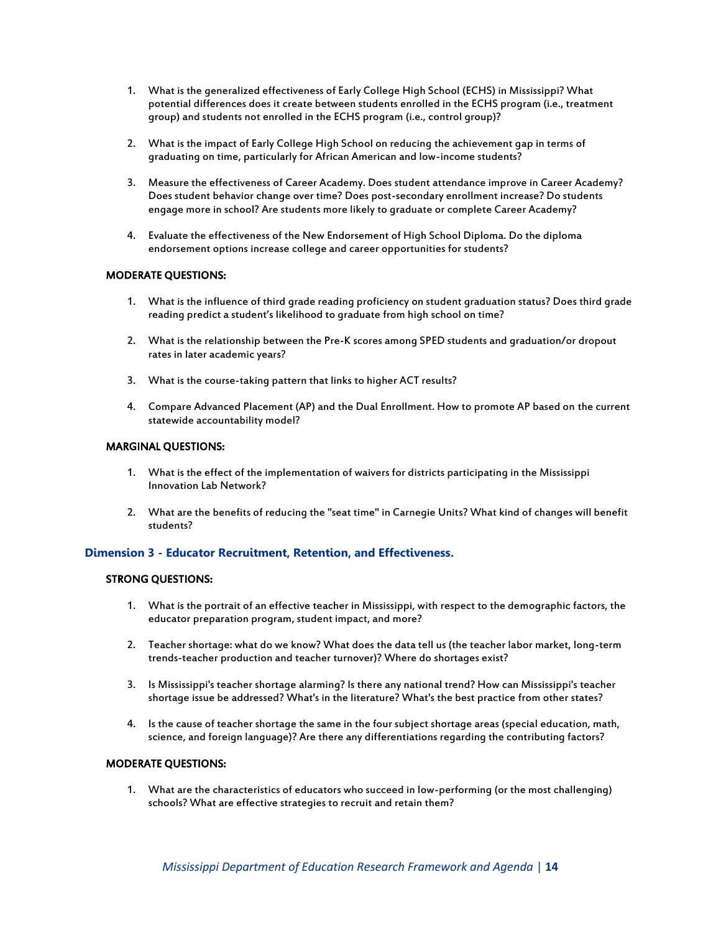- 1. What is the generalized effectiveness of Early College High School (ECHS) in Mississippi? What potential differences does it create between students enrolled in the ECHS program (i.e., treatment group) and students not enrolled in the ECHS program (i.e., control group)?
- 2. What is the impact of Early College High School on reducing the achievement gap in terms of graduating on time, particularly for African American and low-income students?
- 3. Measure the effectiveness of Career Academy. Does student attendance improve in Career Academy? Does student behavior change over time? Does post-secondary enrollment increase? Do students engage more in school? Are students more likely to graduate or complete Career Academy?
- 4. Evaluate the effectiveness of the New Endorsement of High School Diploma. Do the diploma endorsement options increase college and career opportunities for students?

#### MODERATE QUESTIONS:

- 1. What is the influence of third grade reading proficiency on student graduation status? Does third grade reading predict a student's likelihood to graduate from high school on time?
- 2. What is the relationship between the Pre-K scores among SPED students and graduation/or dropout rates in later academic years?
- 3. What is the course-taking pattern that links to higher ACT results?
- 4. Compare Advanced Placement (AP) and the Dual Enrollment. How to promote AP based on the current statewide accountability model?

#### MARGINAL QUESTIONS:

- 1. What is the effect of the implementation of waivers for districts participating in the Mississippi Innovation Lab Network?
- 2. What are the benefits of reducing the "seat time" in Carnegie Units? What kind of changes will benefit students?

#### **Dimension 3 - Educator Recruitment, Retention, and Effectiveness.**

#### STRONG QUESTIONS:

- 1. What is the portrait of an effective teacher in Mississippi, with respect to the demographic factors, the educator preparation program, student impact, and more?
- 2. Teacher shortage: what do we know? What does the data tell us (the teacher labor market, long-term trends-teacher production and teacher turnover)? Where do shortages exist?
- 3. Is Mississippi's teacher shortage alarming? Is there any national trend? How can Mississippi's teacher shortage issue be addressed? What's in the literature? What's the best practice from other states?
- 4. Is the cause of teacher shortage the same in the four subject shortage areas (special education, math, science, and foreign language)? Are there any differentiations regarding the contributing factors?

#### MODERATE QUESTIONS:

1. What are the characteristics of educators who succeed in low-performing (or the most challenging) schools? What are effective strategies to recruit and retain them?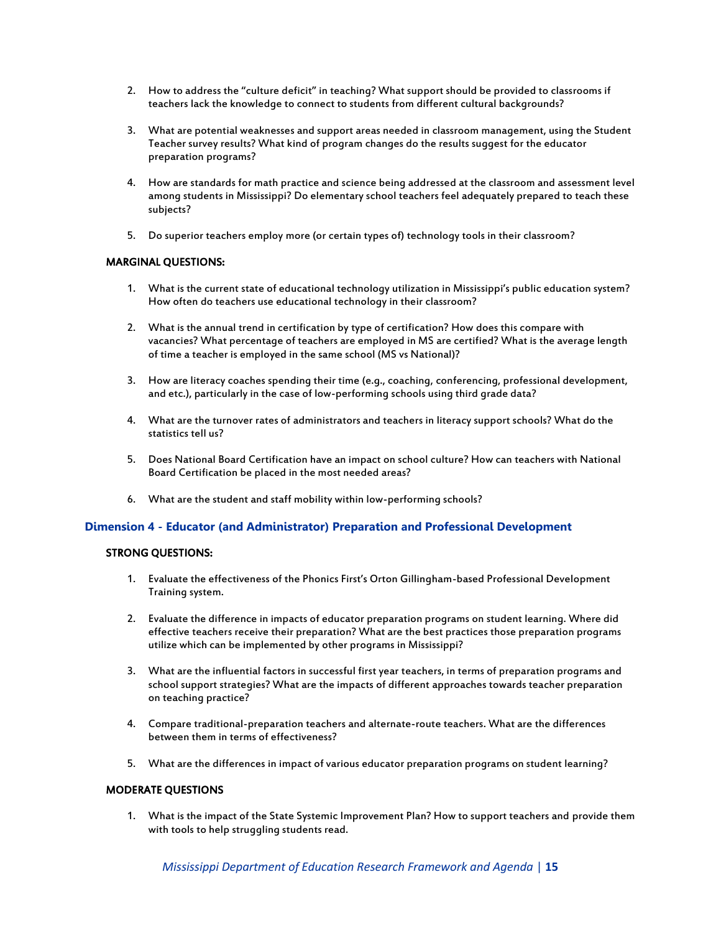- 2. How to address the "culture deficit" in teaching? What support should be provided to classrooms if teachers lack the knowledge to connect to students from different cultural backgrounds?
- 3. What are potential weaknesses and support areas needed in classroom management, using the Student Teacher survey results? What kind of program changes do the results suggest for the educator preparation programs?
- 4. How are standards for math practice and science being addressed at the classroom and assessment level among students in Mississippi? Do elementary school teachers feel adequately prepared to teach these subjects?
- 5. Do superior teachers employ more (or certain types of) technology tools in their classroom?

#### MARGINAL QUESTIONS:

- 1. What is the current state of educational technology utilization in Mississippi's public education system? How often do teachers use educational technology in their classroom?
- 2. What is the annual trend in certification by type of certification? How does this compare with vacancies? What percentage of teachers are employed in MS are certified? What is the average length of time a teacher is employed in the same school (MS vs National)?
- 3. How are literacy coaches spending their time (e.g., coaching, conferencing, professional development, and etc.), particularly in the case of low-performing schools using third grade data?
- 4. What are the turnover rates of administrators and teachers in literacy support schools? What do the statistics tell us?
- 5. Does National Board Certification have an impact on school culture? How can teachers with National Board Certification be placed in the most needed areas?
- 6. What are the student and staff mobility within low-performing schools?

#### **Dimension 4 - Educator (and Administrator) Preparation and Professional Development**

#### STRONG QUESTIONS:

- 1. Evaluate the effectiveness of the Phonics First's Orton Gillingham-based Professional Development Training system.
- 2. Evaluate the difference in impacts of educator preparation programs on student learning. Where did effective teachers receive their preparation? What are the best practices those preparation programs utilize which can be implemented by other programs in Mississippi?
- 3. What are the influential factors in successful first year teachers, in terms of preparation programs and school support strategies? What are the impacts of different approaches towards teacher preparation on teaching practice?
- 4. Compare traditional-preparation teachers and alternate-route teachers. What are the differences between them in terms of effectiveness?
- 5. What are the differences in impact of various educator preparation programs on student learning?

#### MODERATE QUESTIONS

1. What is the impact of the State Systemic Improvement Plan? How to support teachers and provide them with tools to help struggling students read.

*Mississippi Department of Education Research Framework and Agenda* | **15**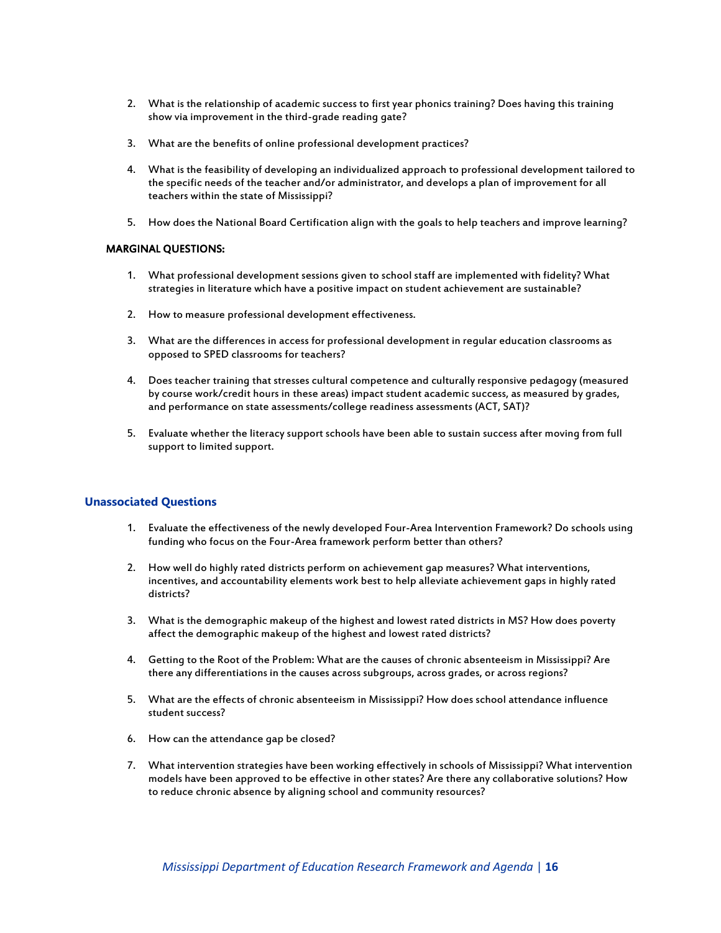- 2. What is the relationship of academic success to first year phonics training? Does having this training show via improvement in the third-grade reading gate?
- 3. What are the benefits of online professional development practices?
- 4. What is the feasibility of developing an individualized approach to professional development tailored to the specific needs of the teacher and/or administrator, and develops a plan of improvement for all teachers within the state of Mississippi?
- 5. How does the National Board Certification align with the goals to help teachers and improve learning?

#### MARGINAL QUESTIONS:

- 1. What professional development sessions given to school staff are implemented with fidelity? What strategies in literature which have a positive impact on student achievement are sustainable?
- 2. How to measure professional development effectiveness.
- 3. What are the differences in access for professional development in regular education classrooms as opposed to SPED classrooms for teachers?
- 4. Does teacher training that stresses cultural competence and culturally responsive pedagogy (measured by course work/credit hours in these areas) impact student academic success, as measured by grades, and performance on state assessments/college readiness assessments (ACT, SAT)?
- 5. Evaluate whether the literacy support schools have been able to sustain success after moving from full support to limited support.

#### **Unassociated Questions**

- 1. Evaluate the effectiveness of the newly developed Four-Area Intervention Framework? Do schools using funding who focus on the Four-Area framework perform better than others?
- 2. How well do highly rated districts perform on achievement gap measures? What interventions, incentives, and accountability elements work best to help alleviate achievement gaps in highly rated districts?
- 3. What is the demographic makeup of the highest and lowest rated districts in MS? How does poverty affect the demographic makeup of the highest and lowest rated districts?
- 4. Getting to the Root of the Problem: What are the causes of chronic absenteeism in Mississippi? Are there any differentiations in the causes across subgroups, across grades, or across regions?
- 5. What are the effects of chronic absenteeism in Mississippi? How does school attendance influence student success?
- 6. How can the attendance gap be closed?
- 7. What intervention strategies have been working effectively in schools of Mississippi? What intervention models have been approved to be effective in other states? Are there any collaborative solutions? How to reduce chronic absence by aligning school and community resources?